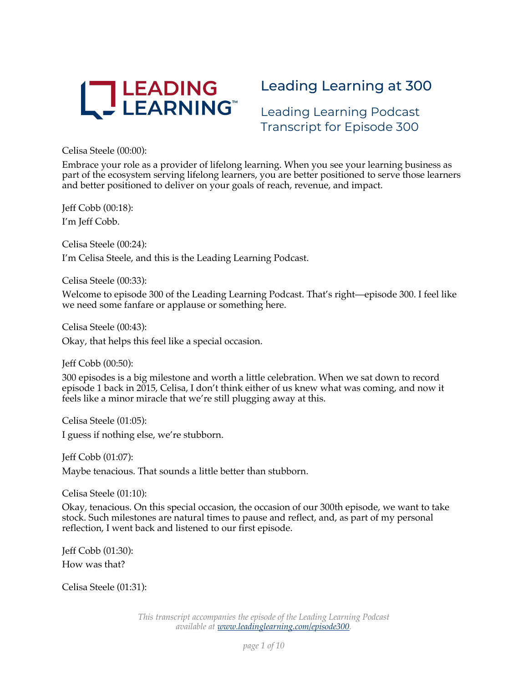

# Leading Learning at 300

Leading Learning Podcast Transcript for Episode 300

Celisa Steele (00:00):

Embrace your role as a provider of lifelong learning. When you see your learning business as part of the ecosystem serving lifelong learners, you are better positioned to serve those learners and better positioned to deliver on your goals of reach, revenue, and impact.

Jeff Cobb (00:18): I'm Jeff Cobb.

Celisa Steele (00:24):

I'm Celisa Steele, and this is the Leading Learning Podcast.

Celisa Steele (00:33):

Welcome to episode 300 of the Leading Learning Podcast. That's right—episode 300. I feel like we need some fanfare or applause or something here.

Celisa Steele (00:43): Okay, that helps this feel like a special occasion.

Jeff Cobb (00:50):

300 episodes is a big milestone and worth a little celebration. When we sat down to record episode 1 back in 2015, Celisa, I don't think either of us knew what was coming, and now it feels like a minor miracle that we're still plugging away at this.

Celisa Steele (01:05): I guess if nothing else, we're stubborn.

Jeff Cobb (01:07): Maybe tenacious. That sounds a little better than stubborn.

Celisa Steele (01:10):

Okay, tenacious. On this special occasion, the occasion of our 300th episode, we want to take stock. Such milestones are natural times to pause and reflect, and, as part of my personal reflection, I went back and listened to our first episode.

Jeff Cobb (01:30): How was that?

Celisa Steele (01:31):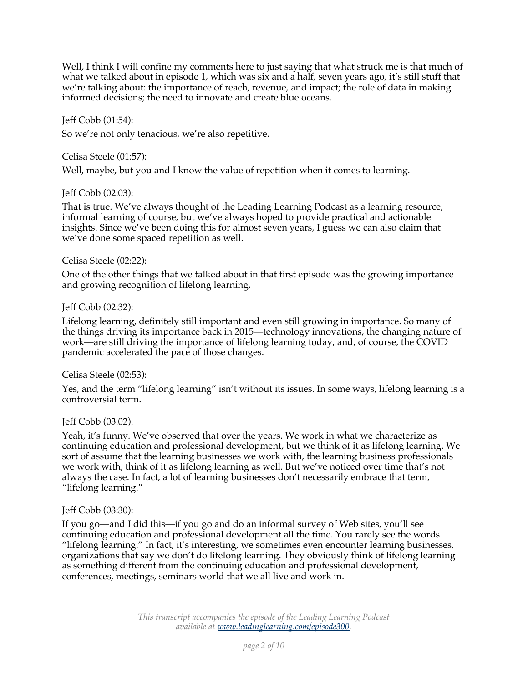Well, I think I will confine my comments here to just saying that what struck me is that much of what we talked about in episode 1, which was six and a half, seven years ago, it's still stuff that we're talking about: the importance of reach, revenue, and impact; the role of data in making informed decisions; the need to innovate and create blue oceans.

#### Jeff Cobb (01:54):

So we're not only tenacious, we're also repetitive.

#### Celisa Steele (01:57):

Well, maybe, but you and I know the value of repetition when it comes to learning.

#### Jeff Cobb (02:03):

That is true. We've always thought of the Leading Learning Podcast as a learning resource, informal learning of course, but we've always hoped to provide practical and actionable insights. Since we've been doing this for almost seven years, I guess we can also claim that we've done some spaced repetition as well.

#### Celisa Steele (02:22):

One of the other things that we talked about in that first episode was the growing importance and growing recognition of lifelong learning.

#### Jeff Cobb (02:32):

Lifelong learning, definitely still important and even still growing in importance. So many of the things driving its importance back in 2015—technology innovations, the changing nature of work—are still driving the importance of lifelong learning today, and, of course, the COVID pandemic accelerated the pace of those changes.

## Celisa Steele (02:53):

Yes, and the term "lifelong learning" isn't without its issues. In some ways, lifelong learning is a controversial term.

## Jeff Cobb (03:02):

Yeah, it's funny. We've observed that over the years. We work in what we characterize as continuing education and professional development, but we think of it as lifelong learning. We sort of assume that the learning businesses we work with, the learning business professionals we work with, think of it as lifelong learning as well. But we've noticed over time that's not always the case. In fact, a lot of learning businesses don't necessarily embrace that term, "lifelong learning."

## Jeff Cobb (03:30):

If you go—and I did this—if you go and do an informal survey of Web sites, you'll see continuing education and professional development all the time. You rarely see the words "lifelong learning." In fact, it's interesting, we sometimes even encounter learning businesses, organizations that say we don't do lifelong learning. They obviously think of lifelong learning as something different from the continuing education and professional development, conferences, meetings, seminars world that we all live and work in.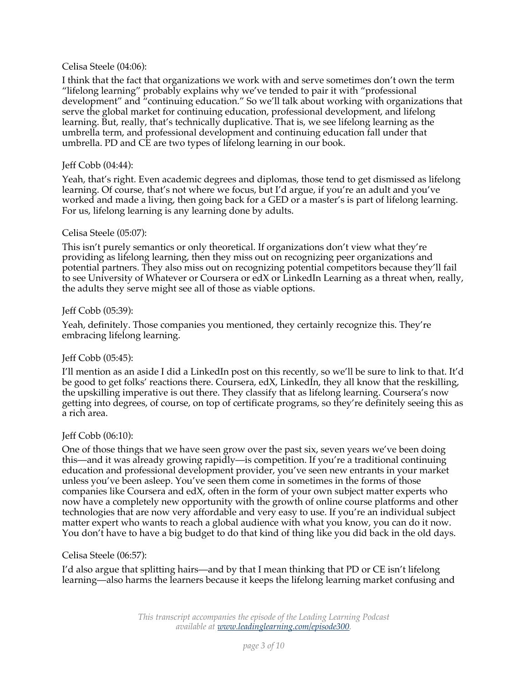## Celisa Steele (04:06):

I think that the fact that organizations we work with and serve sometimes don't own the term "lifelong learning" probably explains why we've tended to pair it with "professional development" and "continuing education." So we'll talk about working with organizations that serve the global market for continuing education, professional development, and lifelong learning. But, really, that's technically duplicative. That is, we see lifelong learning as the umbrella term, and professional development and continuing education fall under that umbrella. PD and CE are two types of lifelong learning in our book.

## Jeff Cobb (04:44):

Yeah, that's right. Even academic degrees and diplomas, those tend to get dismissed as lifelong learning. Of course, that's not where we focus, but I'd argue, if you're an adult and you've worked and made a living, then going back for a GED or a master's is part of lifelong learning. For us, lifelong learning is any learning done by adults.

## Celisa Steele (05:07):

This isn't purely semantics or only theoretical. If organizations don't view what they're providing as lifelong learning, then they miss out on recognizing peer organizations and potential partners. They also miss out on recognizing potential competitors because they'll fail to see University of Whatever or Coursera or edX or LinkedIn Learning as a threat when, really, the adults they serve might see all of those as viable options.

## Jeff Cobb (05:39):

Yeah, definitely. Those companies you mentioned, they certainly recognize this. They're embracing lifelong learning.

# Jeff Cobb (05:45):

I'll mention as an aside I did a LinkedIn post on this recently, so we'll be sure to link to that. It'd be good to get folks' reactions there. Coursera, edX, LinkedIn, they all know that the reskilling, the upskilling imperative is out there. They classify that as lifelong learning. Coursera's now getting into degrees, of course, on top of certificate programs, so they're definitely seeing this as a rich area.

## Jeff Cobb (06:10):

One of those things that we have seen grow over the past six, seven years we've been doing this—and it was already growing rapidly—is competition. If you're a traditional continuing education and professional development provider, you've seen new entrants in your market unless you've been asleep. You've seen them come in sometimes in the forms of those companies like Coursera and edX, often in the form of your own subject matter experts who now have a completely new opportunity with the growth of online course platforms and other technologies that are now very affordable and very easy to use. If you're an individual subject matter expert who wants to reach a global audience with what you know, you can do it now. You don't have to have a big budget to do that kind of thing like you did back in the old days.

## Celisa Steele (06:57):

I'd also argue that splitting hairs—and by that I mean thinking that PD or CE isn't lifelong learning—also harms the learners because it keeps the lifelong learning market confusing and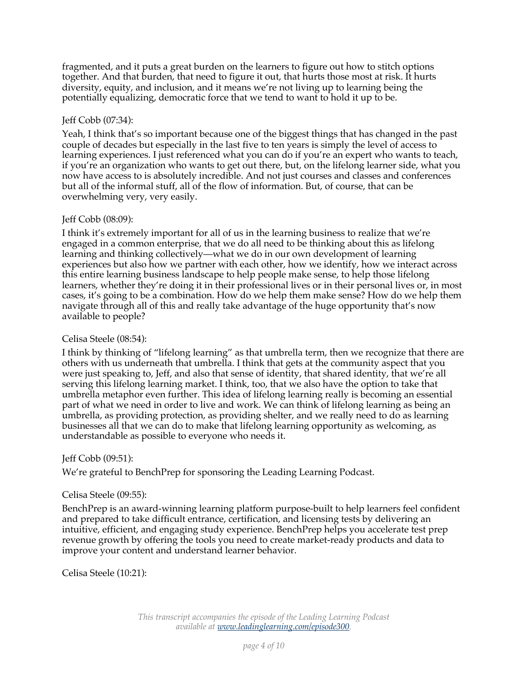fragmented, and it puts a great burden on the learners to figure out how to stitch options together. And that burden, that need to figure it out, that hurts those most at risk. It hurts diversity, equity, and inclusion, and it means we're not living up to learning being the potentially equalizing, democratic force that we tend to want to hold it up to be.

# Jeff Cobb (07:34):

Yeah, I think that's so important because one of the biggest things that has changed in the past couple of decades but especially in the last five to ten years is simply the level of access to learning experiences. I just referenced what you can do if you're an expert who wants to teach, if you're an organization who wants to get out there, but, on the lifelong learner side, what you now have access to is absolutely incredible. And not just courses and classes and conferences but all of the informal stuff, all of the flow of information. But, of course, that can be overwhelming very, very easily.

# Jeff Cobb (08:09):

I think it's extremely important for all of us in the learning business to realize that we're engaged in a common enterprise, that we do all need to be thinking about this as lifelong learning and thinking collectively—what we do in our own development of learning experiences but also how we partner with each other, how we identify, how we interact across this entire learning business landscape to help people make sense, to help those lifelong learners, whether they're doing it in their professional lives or in their personal lives or, in most cases, it's going to be a combination. How do we help them make sense? How do we help them navigate through all of this and really take advantage of the huge opportunity that's now available to people?

# Celisa Steele (08:54):

I think by thinking of "lifelong learning" as that umbrella term, then we recognize that there are others with us underneath that umbrella. I think that gets at the community aspect that you were just speaking to, Jeff, and also that sense of identity, that shared identity, that we're all serving this lifelong learning market. I think, too, that we also have the option to take that umbrella metaphor even further. This idea of lifelong learning really is becoming an essential part of what we need in order to live and work. We can think of lifelong learning as being an umbrella, as providing protection, as providing shelter, and we really need to do as learning businesses all that we can do to make that lifelong learning opportunity as welcoming, as understandable as possible to everyone who needs it.

## Jeff Cobb (09:51):

We're grateful to BenchPrep for sponsoring the Leading Learning Podcast.

## Celisa Steele (09:55):

BenchPrep is an award-winning learning platform purpose-built to help learners feel confident and prepared to take difficult entrance, certification, and licensing tests by delivering an intuitive, efficient, and engaging study experience. BenchPrep helps you accelerate test prep revenue growth by offering the tools you need to create market-ready products and data to improve your content and understand learner behavior.

Celisa Steele (10:21):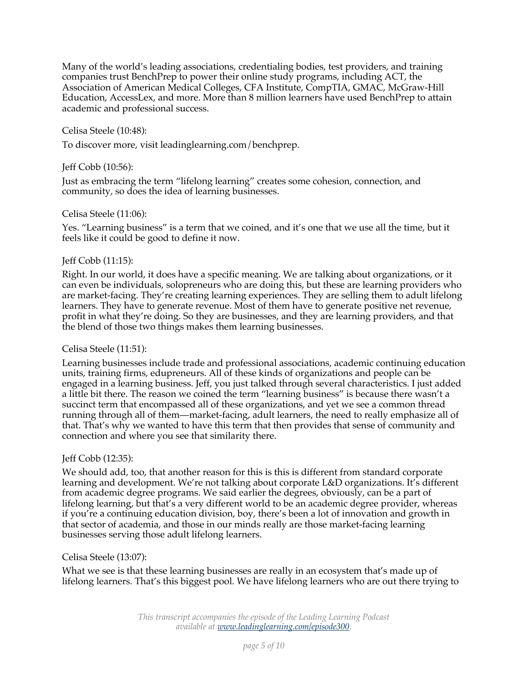Many of the world's leading associations, credentialing bodies, test providers, and training companies trust BenchPrep to power their online study programs, including ACT, the Association of American Medical Colleges, CFA Institute, CompTIA, GMAC, McGraw-Hill Education, AccessLex, and more. More than 8 million learners have used BenchPrep to attain academic and professional success.

# Celisa Steele (10:48):

To discover more, visit leadinglearning.com/benchprep.

## Jeff Cobb (10:56):

Just as embracing the term "lifelong learning" creates some cohesion, connection, and community, so does the idea of learning businesses.

## Celisa Steele (11:06):

Yes. "Learning business" is a term that we coined, and it's one that we use all the time, but it feels like it could be good to define it now.

# Jeff Cobb (11:15):

Right. In our world, it does have a specific meaning. We are talking about organizations, or it can even be individuals, solopreneurs who are doing this, but these are learning providers who are market-facing. They're creating learning experiences. They are selling them to adult lifelong learners. They have to generate revenue. Most of them have to generate positive net revenue, profit in what they're doing. So they are businesses, and they are learning providers, and that the blend of those two things makes them learning businesses.

## Celisa Steele (11:51):

Learning businesses include trade and professional associations, academic continuing education units, training firms, edupreneurs. All of these kinds of organizations and people can be engaged in a learning business. Jeff, you just talked through several characteristics. I just added a little bit there. The reason we coined the term "learning business" is because there wasn't a succinct term that encompassed all of these organizations, and yet we see a common thread running through all of them—market-facing, adult learners, the need to really emphasize all of that. That's why we wanted to have this term that then provides that sense of community and connection and where you see that similarity there.

## Jeff Cobb (12:35):

We should add, too, that another reason for this is this is different from standard corporate learning and development. We're not talking about corporate L&D organizations. It's different from academic degree programs. We said earlier the degrees, obviously, can be a part of lifelong learning, but that's a very different world to be an academic degree provider, whereas if you're a continuing education division, boy, there's been a lot of innovation and growth in that sector of academia, and those in our minds really are those market-facing learning businesses serving those adult lifelong learners.

## Celisa Steele (13:07):

What we see is that these learning businesses are really in an ecosystem that's made up of lifelong learners. That's this biggest pool. We have lifelong learners who are out there trying to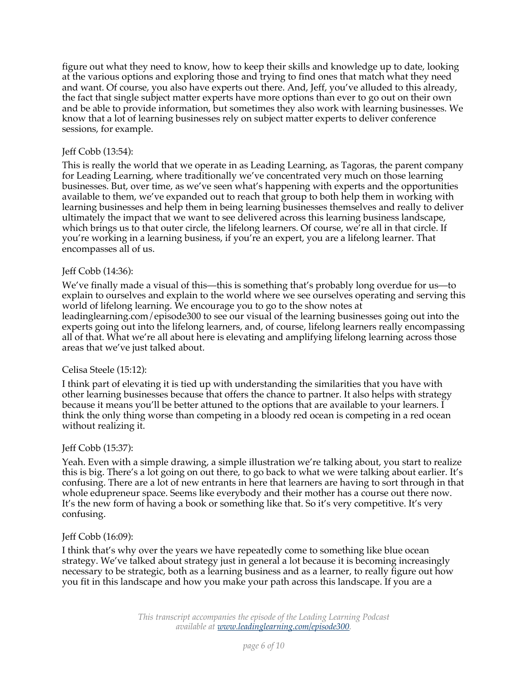figure out what they need to know, how to keep their skills and knowledge up to date, looking at the various options and exploring those and trying to find ones that match what they need and want. Of course, you also have experts out there. And, Jeff, you've alluded to this already, the fact that single subject matter experts have more options than ever to go out on their own and be able to provide information, but sometimes they also work with learning businesses. We know that a lot of learning businesses rely on subject matter experts to deliver conference sessions, for example.

# Jeff Cobb (13:54):

This is really the world that we operate in as Leading Learning, as Tagoras, the parent company for Leading Learning, where traditionally we've concentrated very much on those learning businesses. But, over time, as we've seen what's happening with experts and the opportunities available to them, we've expanded out to reach that group to both help them in working with learning businesses and help them in being learning businesses themselves and really to deliver ultimately the impact that we want to see delivered across this learning business landscape, which brings us to that outer circle, the lifelong learners. Of course, we're all in that circle. If you're working in a learning business, if you're an expert, you are a lifelong learner. That encompasses all of us.

## Jeff Cobb (14:36):

We've finally made a visual of this—this is something that's probably long overdue for us—to explain to ourselves and explain to the world where we see ourselves operating and serving this world of lifelong learning. We encourage you to go to the show notes at leadinglearning.com/episode300 to see our visual of the learning businesses going out into the experts going out into the lifelong learners, and, of course, lifelong learners really encompassing all of that. What we're all about here is elevating and amplifying lifelong learning across those areas that we've just talked about.

## Celisa Steele (15:12):

I think part of elevating it is tied up with understanding the similarities that you have with other learning businesses because that offers the chance to partner. It also helps with strategy because it means you'll be better attuned to the options that are available to your learners. I think the only thing worse than competing in a bloody red ocean is competing in a red ocean without realizing it.

## Jeff Cobb (15:37):

Yeah. Even with a simple drawing, a simple illustration we're talking about, you start to realize this is big. There's a lot going on out there, to go back to what we were talking about earlier. It's confusing. There are a lot of new entrants in here that learners are having to sort through in that whole edupreneur space. Seems like everybody and their mother has a course out there now. It's the new form of having a book or something like that. So it's very competitive. It's very confusing.

## Jeff Cobb (16:09):

I think that's why over the years we have repeatedly come to something like blue ocean strategy. We've talked about strategy just in general a lot because it is becoming increasingly necessary to be strategic, both as a learning business and as a learner, to really figure out how you fit in this landscape and how you make your path across this landscape. If you are a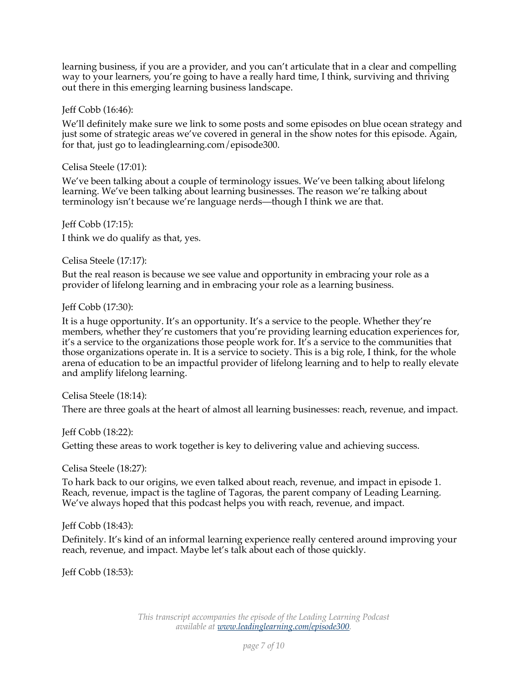learning business, if you are a provider, and you can't articulate that in a clear and compelling way to your learners, you're going to have a really hard time, I think, surviving and thriving out there in this emerging learning business landscape.

## Jeff Cobb (16:46):

We'll definitely make sure we link to some posts and some episodes on blue ocean strategy and just some of strategic areas we've covered in general in the show notes for this episode. Again, for that, just go to leadinglearning.com/episode300.

## Celisa Steele (17:01):

We've been talking about a couple of terminology issues. We've been talking about lifelong learning. We've been talking about learning businesses. The reason we're talking about terminology isn't because we're language nerds—though I think we are that.

Jeff Cobb (17:15): I think we do qualify as that, yes.

Celisa Steele (17:17):

But the real reason is because we see value and opportunity in embracing your role as a provider of lifelong learning and in embracing your role as a learning business.

Jeff Cobb (17:30):

It is a huge opportunity. It's an opportunity. It's a service to the people. Whether they're members, whether they're customers that you're providing learning education experiences for, it's a service to the organizations those people work for. It's a service to the communities that those organizations operate in. It is a service to society. This is a big role, I think, for the whole arena of education to be an impactful provider of lifelong learning and to help to really elevate and amplify lifelong learning.

Celisa Steele (18:14):

There are three goals at the heart of almost all learning businesses: reach, revenue, and impact.

## Jeff Cobb (18:22):

Getting these areas to work together is key to delivering value and achieving success.

Celisa Steele (18:27):

To hark back to our origins, we even talked about reach, revenue, and impact in episode 1. Reach, revenue, impact is the tagline of Tagoras, the parent company of Leading Learning. We've always hoped that this podcast helps you with reach, revenue, and impact.

# Jeff Cobb (18:43):

Definitely. It's kind of an informal learning experience really centered around improving your reach, revenue, and impact. Maybe let's talk about each of those quickly.

Jeff Cobb (18:53):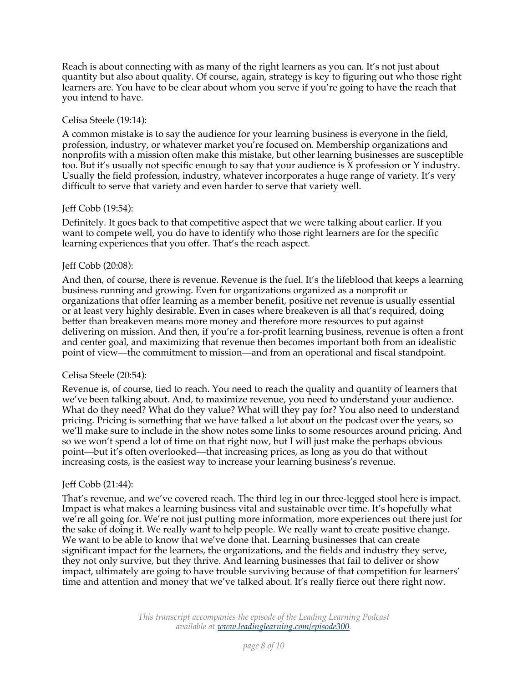Reach is about connecting with as many of the right learners as you can. It's not just about quantity but also about quality. Of course, again, strategy is key to figuring out who those right learners are. You have to be clear about whom you serve if you're going to have the reach that you intend to have.

#### Celisa Steele (19:14):

A common mistake is to say the audience for your learning business is everyone in the field, profession, industry, or whatever market you're focused on. Membership organizations and nonprofits with a mission often make this mistake, but other learning businesses are susceptible too. But it's usually not specific enough to say that your audience is  $\bar{X}$  profession or Y industry. Usually the field profession, industry, whatever incorporates a huge range of variety. It's very difficult to serve that variety and even harder to serve that variety well.

## Jeff Cobb (19:54):

Definitely. It goes back to that competitive aspect that we were talking about earlier. If you want to compete well, you do have to identify who those right learners are for the specific learning experiences that you offer. That's the reach aspect.

## Jeff Cobb (20:08):

And then, of course, there is revenue. Revenue is the fuel. It's the lifeblood that keeps a learning business running and growing. Even for organizations organized as a nonprofit or organizations that offer learning as a member benefit, positive net revenue is usually essential or at least very highly desirable. Even in cases where breakeven is all that's required, doing better than breakeven means more money and therefore more resources to put against delivering on mission. And then, if you're a for-profit learning business, revenue is often a front and center goal, and maximizing that revenue then becomes important both from an idealistic point of view—the commitment to mission—and from an operational and fiscal standpoint.

## Celisa Steele (20:54):

Revenue is, of course, tied to reach. You need to reach the quality and quantity of learners that we've been talking about. And, to maximize revenue, you need to understand your audience. What do they need? What do they value? What will they pay for? You also need to understand pricing. Pricing is something that we have talked a lot about on the podcast over the years, so we'll make sure to include in the show notes some links to some resources around pricing. And so we won't spend a lot of time on that right now, but I will just make the perhaps obvious point—but it's often overlooked—that increasing prices, as long as you do that without increasing costs, is the easiest way to increase your learning business's revenue.

## Jeff Cobb (21:44):

That's revenue, and we've covered reach. The third leg in our three-legged stool here is impact. Impact is what makes a learning business vital and sustainable over time. It's hopefully what we're all going for. We're not just putting more information, more experiences out there just for the sake of doing it. We really want to help people. We really want to create positive change. We want to be able to know that we've done that. Learning businesses that can create significant impact for the learners, the organizations, and the fields and industry they serve, they not only survive, but they thrive. And learning businesses that fail to deliver or show impact, ultimately are going to have trouble surviving because of that competition for learners' time and attention and money that we've talked about. It's really fierce out there right now.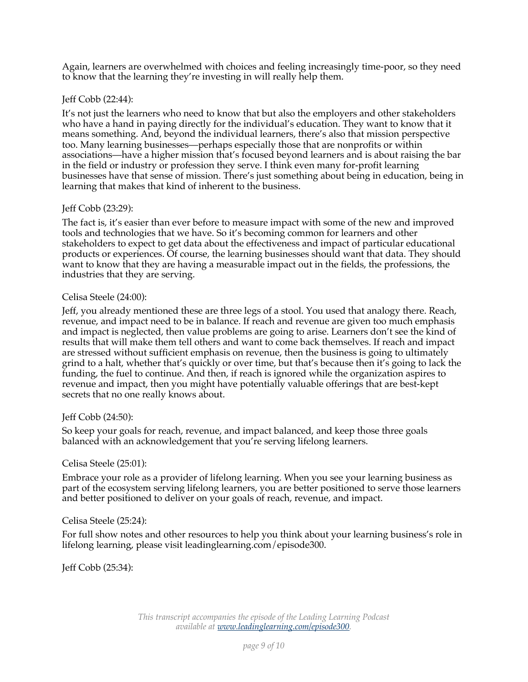Again, learners are overwhelmed with choices and feeling increasingly time-poor, so they need to know that the learning they're investing in will really help them.

# Jeff Cobb (22:44):

It's not just the learners who need to know that but also the employers and other stakeholders who have a hand in paying directly for the individual's education. They want to know that it means something. And, beyond the individual learners, there's also that mission perspective too. Many learning businesses—perhaps especially those that are nonprofits or within associations—have a higher mission that's focused beyond learners and is about raising the bar in the field or industry or profession they serve. I think even many for-profit learning businesses have that sense of mission. There's just something about being in education, being in learning that makes that kind of inherent to the business.

## Jeff Cobb (23:29):

The fact is, it's easier than ever before to measure impact with some of the new and improved tools and technologies that we have. So it's becoming common for learners and other stakeholders to expect to get data about the effectiveness and impact of particular educational products or experiences. Of course, the learning businesses should want that data. They should want to know that they are having a measurable impact out in the fields, the professions, the industries that they are serving.

## Celisa Steele (24:00):

Jeff, you already mentioned these are three legs of a stool. You used that analogy there. Reach, revenue, and impact need to be in balance. If reach and revenue are given too much emphasis and impact is neglected, then value problems are going to arise. Learners don't see the kind of results that will make them tell others and want to come back themselves. If reach and impact are stressed without sufficient emphasis on revenue, then the business is going to ultimately grind to a halt, whether that's quickly or over time, but that's because then it's going to lack the funding, the fuel to continue. And then, if reach is ignored while the organization aspires to revenue and impact, then you might have potentially valuable offerings that are best-kept secrets that no one really knows about.

## Jeff Cobb (24:50):

So keep your goals for reach, revenue, and impact balanced, and keep those three goals balanced with an acknowledgement that you're serving lifelong learners.

## Celisa Steele (25:01):

Embrace your role as a provider of lifelong learning. When you see your learning business as part of the ecosystem serving lifelong learners, you are better positioned to serve those learners and better positioned to deliver on your goals of reach, revenue, and impact.

## Celisa Steele (25:24):

For full show notes and other resources to help you think about your learning business's role in lifelong learning, please visit leadinglearning.com/episode300.

Jeff Cobb (25:34):